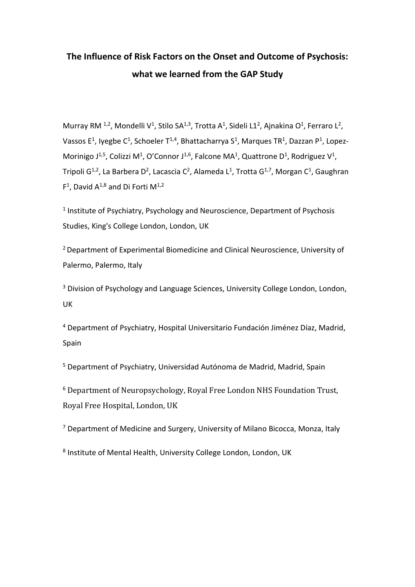# **The Influence of Risk Factors on the Onset and Outcome of Psychosis: what we learned from the GAP Study**

Murray RM <sup>1,2</sup>, Mondelli V<sup>1</sup>, Stilo SA<sup>1,3</sup>, Trotta A<sup>1</sup>, Sideli L1<sup>2</sup>, Ajnakina O<sup>1</sup>, Ferraro L<sup>2</sup>, Vassos E<sup>1</sup>, Iyegbe C<sup>1</sup>, Schoeler T<sup>1,4</sup>, Bhattacharrya S<sup>1</sup>, Marques TR<sup>1</sup>, Dazzan P<sup>1</sup>, Lopez-Morinigo J<sup>1,5</sup>, Colizzi M<sup>1</sup>, O'Connor J<sup>1,6</sup>, Falcone MA<sup>1</sup>, Quattrone D<sup>1</sup>, Rodriguez V<sup>1</sup>, Tripoli G<sup>1,2</sup>, La Barbera D<sup>2</sup>, Lacascia C<sup>2</sup>, Alameda L<sup>1</sup>, Trotta G<sup>1,7</sup>, Morgan C<sup>1</sup>, Gaughran  $F^1$ , David A<sup>1,8</sup> and Di Forti M<sup>1,2</sup>

<sup>1</sup> Institute of Psychiatry, Psychology and Neuroscience, Department of Psychosis Studies, King's College London, London, UK

<sup>2</sup> Department of Experimental Biomedicine and Clinical Neuroscience, University of Palermo, Palermo, Italy

<sup>3</sup> Division of Psychology and Language Sciences, University College London, London, UK

<sup>4</sup> Department of Psychiatry, Hospital Universitario Fundación Jiménez Díaz, Madrid, Spain

<sup>5</sup> Department of Psychiatry, Universidad Autónoma de Madrid, Madrid, Spain

<sup>6</sup> Department of Neuropsychology, Royal Free London NHS Foundation Trust, Royal Free Hospital, London, UK

<sup>7</sup> Department of Medicine and Surgery, University of Milano Bicocca, Monza, Italy

8 Institute of Mental Health, University College London, London, UK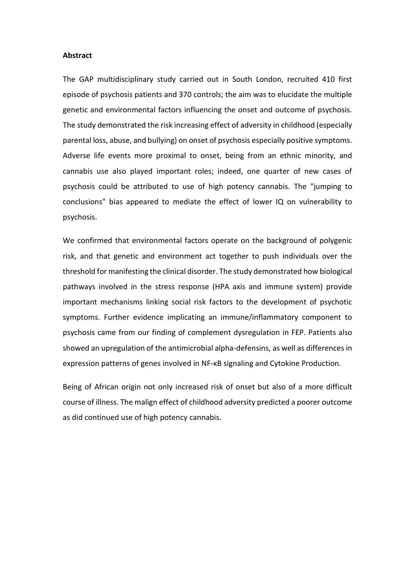#### **Abstract**

The GAP multidisciplinary study carried out in South London, recruited 410 first episode of psychosis patients and 370 controls; the aim was to elucidate the multiple genetic and environmental factors influencing the onset and outcome of psychosis. The study demonstrated the risk increasing effect of adversity in childhood (especially parental loss, abuse, and bullying) on onset of psychosis especially positive symptoms. Adverse life events more proximal to onset, being from an ethnic minority, and cannabis use also played important roles; indeed, one quarter of new cases of psychosis could be attributed to use of high potency cannabis. The "jumping to conclusions" bias appeared to mediate the effect of lower IQ on vulnerability to psychosis.

We confirmed that environmental factors operate on the background of polygenic risk, and that genetic and environment act together to push individuals over the threshold for manifesting the clinical disorder. The study demonstrated how biological pathways involved in the stress response (HPA axis and immune system) provide important mechanisms linking social risk factors to the development of psychotic symptoms. Further evidence implicating an immune/inflammatory component to psychosis came from our finding of complement dysregulation in FEP. Patients also showed an upregulation of the antimicrobial alpha-defensins, as well as differences in expression patterns of genes involved in NF-κB signaling and Cytokine Production.

Being of African origin not only increased risk of onset but also of a more difficult course of illness. The malign effect of childhood adversity predicted a poorer outcome as did continued use of high potency cannabis.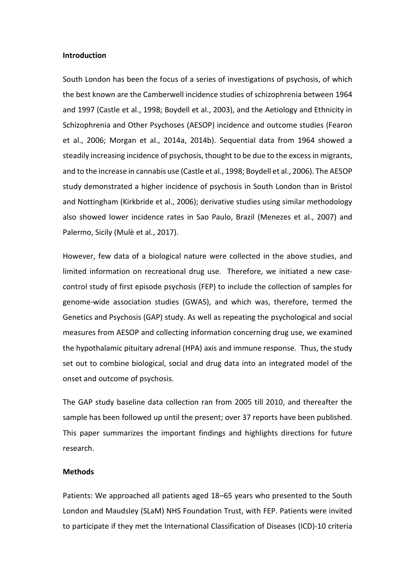#### **Introduction**

South London has been the focus of a series of investigations of psychosis, of which the best known are the Camberwell incidence studies of schizophrenia between 1964 and 1997 (Castle et al., 1998; Boydell et al., 2003), and the Aetiology and Ethnicity in Schizophrenia and Other Psychoses (AESOP) incidence and outcome studies (Fearon et al., 2006; Morgan et al., 2014a, 2014b). Sequential data from 1964 showed a steadily increasing incidence of psychosis, thought to be due to the excess in migrants, and to the increase in cannabis use (Castle et al., 1998; Boydell et al., 2006). The AESOP study demonstrated a higher incidence of psychosis in South London than in Bristol and Nottingham (Kirkbride et al., 2006); derivative studies using similar methodology also showed lower incidence rates in Sao Paulo, Brazil (Menezes et al., 2007) and Palermo, Sicily (Mulè et al., 2017).

However, few data of a biological nature were collected in the above studies, and limited information on recreational drug use. Therefore, we initiated a new casecontrol study of first episode psychosis (FEP) to include the collection of samples for genome-wide association studies (GWAS), and which was, therefore, termed the Genetics and Psychosis (GAP) study. As well as repeating the psychological and social measures from AESOP and collecting information concerning drug use, we examined the hypothalamic pituitary adrenal (HPA) axis and immune response. Thus, the study set out to combine biological, social and drug data into an integrated model of the onset and outcome of psychosis.

The GAP study baseline data collection ran from 2005 till 2010, and thereafter the sample has been followed up until the present; over 37 reports have been published. This paper summarizes the important findings and highlights directions for future research.

#### **Methods**

Patients: We approached all patients aged 18–65 years who presented to the South London and Maudsley (SLaM) NHS Foundation Trust, with FEP. Patients were invited to participate if they met the International Classification of Diseases (ICD)-10 criteria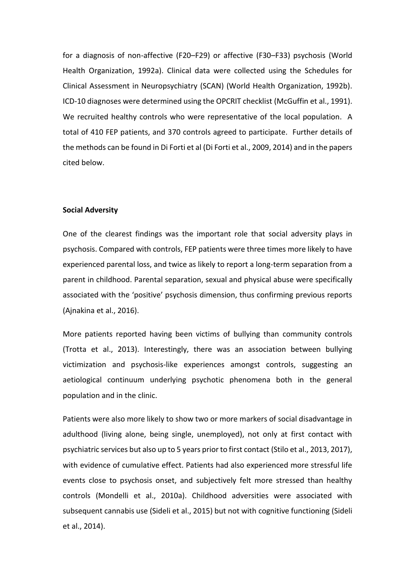for a diagnosis of non-affective (F20–F29) or affective (F30–F33) psychosis (World Health Organization, 1992a). Clinical data were collected using the Schedules for Clinical Assessment in Neuropsychiatry (SCAN) (World Health Organization, 1992b). ICD-10 diagnoses were determined using the OPCRIT checklist (McGuffin et al., 1991). We recruited healthy controls who were representative of the local population. A total of 410 FEP patients, and 370 controls agreed to participate. Further details of the methods can be found in Di Forti et al (Di Forti et al., 2009, 2014) and in the papers cited below.

# **Social Adversity**

One of the clearest findings was the important role that social adversity plays in psychosis. Compared with controls, FEP patients were three times more likely to have experienced parental loss, and twice as likely to report a long-term separation from a parent in childhood. Parental separation, sexual and physical abuse were specifically associated with the 'positive' psychosis dimension, thus confirming previous reports (Ajnakina et al., 2016).

More patients reported having been victims of bullying than community controls (Trotta et al., 2013). Interestingly, there was an association between bullying victimization and psychosis-like experiences amongst controls, suggesting an aetiological continuum underlying psychotic phenomena both in the general population and in the clinic.

Patients were also more likely to show two or more markers of social disadvantage in adulthood (living alone, being single, unemployed), not only at first contact with psychiatric services but also up to 5 years prior to first contact (Stilo et al., 2013, 2017), with evidence of cumulative effect. Patients had also experienced more stressful life events close to psychosis onset, and subjectively felt more stressed than healthy controls (Mondelli et al., 2010a). Childhood adversities were associated with subsequent cannabis use (Sideli et al., 2015) but not with cognitive functioning (Sideli et al., 2014).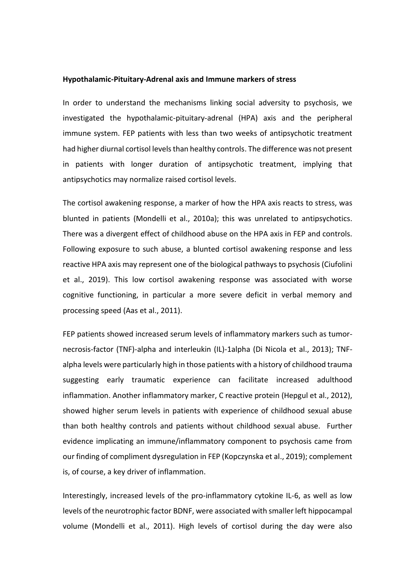#### **Hypothalamic-Pituitary-Adrenal axis and Immune markers of stress**

In order to understand the mechanisms linking social adversity to psychosis, we investigated the hypothalamic-pituitary-adrenal (HPA) axis and the peripheral immune system. FEP patients with less than two weeks of antipsychotic treatment had higher diurnal cortisol levels than healthy controls. The difference was not present in patients with longer duration of antipsychotic treatment, implying that antipsychotics may normalize raised cortisol levels.

The cortisol awakening response, a marker of how the HPA axis reacts to stress, was blunted in patients (Mondelli et al., 2010a); this was unrelated to antipsychotics. There was a divergent effect of childhood abuse on the HPA axis in FEP and controls. Following exposure to such abuse, a blunted cortisol awakening response and less reactive HPA axis may represent one of the biological pathways to psychosis (Ciufolini et al., 2019). This low cortisol awakening response was associated with worse cognitive functioning, in particular a more severe deficit in verbal memory and processing speed (Aas et al., 2011).

FEP patients showed increased serum levels of inflammatory markers such as tumornecrosis-factor (TNF)-alpha and interleukin (IL)-1alpha (Di Nicola et al., 2013); TNFalpha levels were particularly high in those patients with a history of childhood trauma suggesting early traumatic experience can facilitate increased adulthood inflammation. Another inflammatory marker, C reactive protein (Hepgul et al., 2012), showed higher serum levels in patients with experience of childhood sexual abuse than both healthy controls and patients without childhood sexual abuse. Further evidence implicating an immune/inflammatory component to psychosis came from our finding of compliment dysregulation in FEP (Kopczynska et al., 2019); complement is, of course, a key driver of inflammation.

Interestingly, increased levels of the pro-inflammatory cytokine IL-6, as well as low levels of the neurotrophic factor BDNF, were associated with smaller left hippocampal volume (Mondelli et al., 2011). High levels of cortisol during the day were also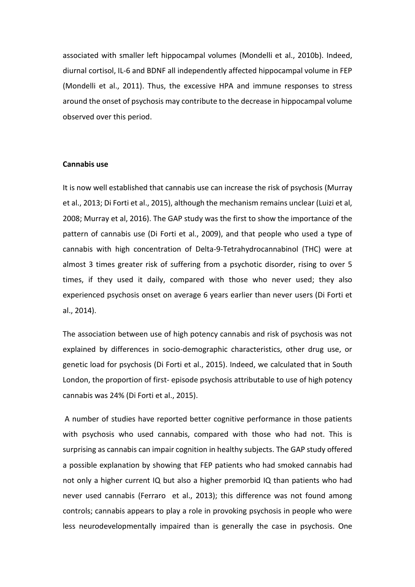associated with smaller left hippocampal volumes (Mondelli et al., 2010b). Indeed, diurnal cortisol, IL-6 and BDNF all independently affected hippocampal volume in FEP (Mondelli et al., 2011). Thus, the excessive HPA and immune responses to stress around the onset of psychosis may contribute to the decrease in hippocampal volume observed over this period.

# **Cannabis use**

It is now well established that cannabis use can increase the risk of psychosis (Murray et al., 2013; Di Forti et al., 2015), although the mechanism remains unclear (Luizi et al, 2008; Murray et al, 2016). The GAP study was the first to show the importance of the pattern of cannabis use (Di Forti et al., 2009), and that people who used a type of cannabis with high concentration of Delta-9-Tetrahydrocannabinol (THC) were at almost 3 times greater risk of suffering from a psychotic disorder, rising to over 5 times, if they used it daily, compared with those who never used; they also experienced psychosis onset on average 6 years earlier than never users (Di Forti et al., 2014).

The association between use of high potency cannabis and risk of psychosis was not explained by differences in socio-demographic characteristics, other drug use, or genetic load for psychosis (Di Forti et al., 2015). Indeed, we calculated that in South London, the proportion of first- episode psychosis attributable to use of high potency cannabis was 24% (Di Forti et al., 2015).

A number of studies have reported better cognitive performance in those patients with psychosis who used cannabis, compared with those who had not. This is surprising as cannabis can impair cognition in healthy subjects. The GAP study offered a possible explanation by showing that FEP patients who had smoked cannabis had not only a higher current IQ but also a higher premorbid IQ than patients who had never used cannabis (Ferraro et al., 2013); this difference was not found among controls; cannabis appears to play a role in provoking psychosis in people who were less neurodevelopmentally impaired than is generally the case in psychosis. One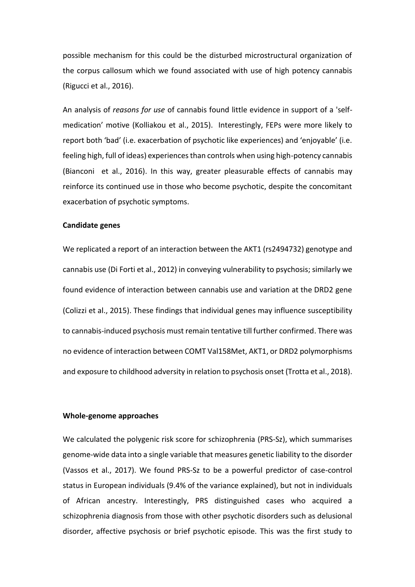possible mechanism for this could be the disturbed microstructural organization of the corpus callosum which we found associated with use of high potency cannabis (Rigucci et al., 2016).

An analysis of *reasons for use* of cannabis found little evidence in support of a 'selfmedication' motive (Kolliakou et al., 2015). Interestingly, FEPs were more likely to report both 'bad' (i.e. exacerbation of psychotic like experiences) and 'enjoyable' (i.e. feeling high, full of ideas) experiences than controls when using high-potency cannabis (Bianconi et al., 2016). In this way, greater pleasurable effects of cannabis may reinforce its continued use in those who become psychotic, despite the concomitant exacerbation of psychotic symptoms.

## **Candidate genes**

We replicated a report of an interaction between the AKT1 (rs2494732) genotype and cannabis use (Di Forti et al., 2012) in conveying vulnerability to psychosis; similarly we found evidence of interaction between cannabis use and variation at the DRD2 gene (Colizzi et al., 2015). These findings that individual genes may influence susceptibility to cannabis-induced psychosis must remain tentative till further confirmed. There was no evidence of interaction between COMT Val158Met, AKT1, or DRD2 polymorphisms and exposure to childhood adversity in relation to psychosis onset (Trotta et al., 2018).

# **Whole-genome approaches**

We calculated the polygenic risk score for schizophrenia (PRS-Sz), which summarises genome-wide data into a single variable that measures genetic liability to the disorder (Vassos et al., 2017). We found PRS-Sz to be a powerful predictor of case-control status in European individuals (9.4% of the variance explained), but not in individuals of African ancestry. Interestingly, PRS distinguished cases who acquired a schizophrenia diagnosis from those with other psychotic disorders such as delusional disorder, affective psychosis or brief psychotic episode. This was the first study to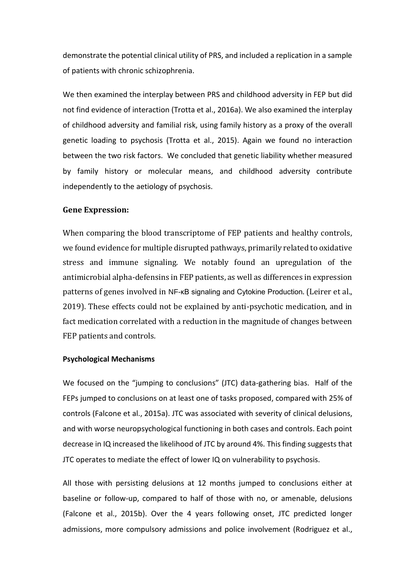demonstrate the potential clinical utility of PRS, and included a replication in a sample of patients with chronic schizophrenia.

We then examined the interplay between PRS and childhood adversity in FEP but did not find evidence of interaction (Trotta et al., 2016a). We also examined the interplay of childhood adversity and familial risk, using family history as a proxy of the overall genetic loading to psychosis (Trotta et al., 2015). Again we found no interaction between the two risk factors. We concluded that genetic liability whether measured by family history or molecular means, and childhood adversity contribute independently to the aetiology of psychosis.

## **Gene Expression:**

When comparing the blood transcriptome of FEP patients and healthy controls, we found evidence for multiple disrupted pathways, primarily related to oxidative stress and immune signaling. We notably found an upregulation of the antimicrobial alpha-defensins in FEP patients, as well as differences in expression patterns of genes involved in NF-κB signaling and Cytokine Production. (Leirer et al., 2019). These effects could not be explained by anti-psychotic medication, and in fact medication correlated with a reduction in the magnitude of changes between FEP patients and controls.

#### **Psychological Mechanisms**

We focused on the "jumping to conclusions" (JTC) data-gathering bias. Half of the FEPs jumped to conclusions on at least one of tasks proposed, compared with 25% of controls (Falcone et al., 2015a). JTC was associated with severity of clinical delusions, and with worse neuropsychological functioning in both cases and controls. Each point decrease in IQ increased the likelihood of JTC by around 4%. This finding suggests that JTC operates to mediate the effect of lower IQ on vulnerability to psychosis.

All those with persisting delusions at 12 months jumped to conclusions either at baseline or follow-up, compared to half of those with no, or amenable, delusions (Falcone et al., 2015b). Over the 4 years following onset, JTC predicted longer admissions, more compulsory admissions and police involvement (Rodriguez et al.,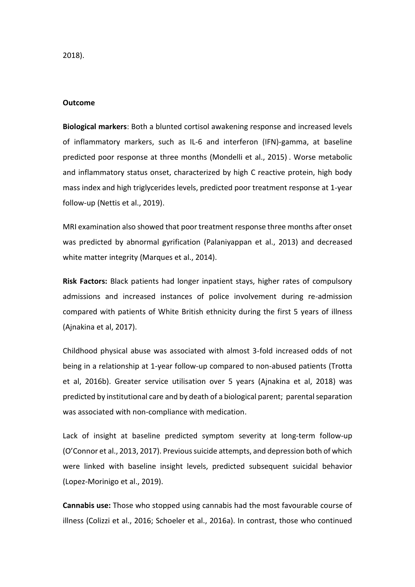2018).

#### **Outcome**

**Biological markers**: Both a blunted cortisol awakening response and increased levels of inflammatory markers, such as IL-6 and interferon (IFN)-gamma, at baseline predicted poor response at three months (Mondelli et al., 2015) . Worse metabolic and inflammatory status onset, characterized by high C reactive protein, high body mass index and high triglycerides levels, predicted poor treatment response at 1-year follow-up (Nettis et al., 2019).

MRI examination also showed that poor treatment response three months after onset was predicted by abnormal gyrification (Palaniyappan et al., 2013) and decreased white matter integrity (Marques et al., 2014).

**Risk Factors:** Black patients had longer inpatient stays, higher rates of compulsory admissions and increased instances of police involvement during re-admission compared with patients of White British ethnicity during the first 5 years of illness (Ajnakina et al, 2017).

Childhood physical abuse was associated with almost 3-fold increased odds of not being in a relationship at 1-year follow-up compared to non-abused patients (Trotta et al, 2016b). Greater service utilisation over 5 years (Ajnakina et al, 2018) was predicted by institutional care and by death of a biological parent; parental separation was associated with non-compliance with medication.

Lack of insight at baseline predicted symptom severity at long-term follow-up (O'Connor et al., 2013, 2017). Previous suicide attempts, and depression both of which were linked with baseline insight levels, predicted subsequent suicidal behavior (Lopez-Morinigo et al., 2019).

**Cannabis use:** Those who stopped using cannabis had the most favourable course of illness (Colizzi et al., 2016; Schoeler et al., 2016a). In contrast, those who continued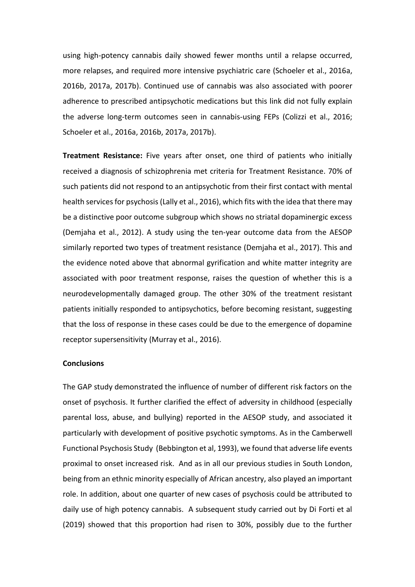using high-potency cannabis daily showed fewer months until a relapse occurred, more relapses, and required more intensive psychiatric care (Schoeler et al., 2016a, 2016b, 2017a, 2017b). Continued use of cannabis was also associated with poorer adherence to prescribed antipsychotic medications but this link did not fully explain the adverse long-term outcomes seen in cannabis-using FEPs (Colizzi et al., 2016; Schoeler et al., 2016a, 2016b, 2017a, 2017b).

**Treatment Resistance:** Five years after onset, one third of patients who initially received a diagnosis of schizophrenia met criteria for Treatment Resistance. 70% of such patients did not respond to an antipsychotic from their first contact with mental health services for psychosis(Lally et al., 2016), which fits with the idea that there may be a distinctive poor outcome subgroup which shows no striatal dopaminergic excess (Demjaha et al., 2012). A study using the ten-year outcome data from the AESOP similarly reported two types of treatment resistance (Demjaha et al., 2017). This and the evidence noted above that abnormal gyrification and white matter integrity are associated with poor treatment response, raises the question of whether this is a neurodevelopmentally damaged group. The other 30% of the treatment resistant patients initially responded to antipsychotics, before becoming resistant, suggesting that the loss of response in these cases could be due to the emergence of dopamine receptor supersensitivity (Murray et al., 2016).

# **Conclusions**

The GAP study demonstrated the influence of number of different risk factors on the onset of psychosis. It further clarified the effect of adversity in childhood (especially parental loss, abuse, and bullying) reported in the AESOP study, and associated it particularly with development of positive psychotic symptoms. As in the Camberwell Functional Psychosis Study (Bebbington et al, 1993), we found that adverse life events proximal to onset increased risk. And as in all our previous studies in South London, being from an ethnic minority especially of African ancestry, also played an important role. In addition, about one quarter of new cases of psychosis could be attributed to daily use of high potency cannabis. A subsequent study carried out by Di Forti et al (2019) showed that this proportion had risen to 30%, possibly due to the further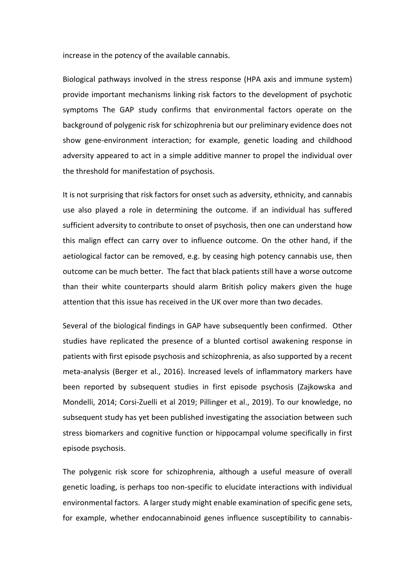increase in the potency of the available cannabis.

Biological pathways involved in the stress response (HPA axis and immune system) provide important mechanisms linking risk factors to the development of psychotic symptoms The GAP study confirms that environmental factors operate on the background of polygenic risk for schizophrenia but our preliminary evidence does not show gene-environment interaction; for example, genetic loading and childhood adversity appeared to act in a simple additive manner to propel the individual over the threshold for manifestation of psychosis.

It is not surprising that risk factors for onset such as adversity, ethnicity, and cannabis use also played a role in determining the outcome. if an individual has suffered sufficient adversity to contribute to onset of psychosis, then one can understand how this malign effect can carry over to influence outcome. On the other hand, if the aetiological factor can be removed, e.g. by ceasing high potency cannabis use, then outcome can be much better. The fact that black patients still have a worse outcome than their white counterparts should alarm British policy makers given the huge attention that this issue has received in the UK over more than two decades.

Several of the biological findings in GAP have subsequently been confirmed. Other studies have replicated the presence of a blunted cortisol awakening response in patients with first episode psychosis and schizophrenia, as also supported by a recent meta-analysis (Berger et al., 2016). Increased levels of inflammatory markers have been reported by subsequent studies in first episode psychosis (Zajkowska and Mondelli, 2014; Corsi-Zuelli et al 2019; Pillinger et al., 2019). To our knowledge, no subsequent study has yet been published investigating the association between such stress biomarkers and cognitive function or hippocampal volume specifically in first episode psychosis.

The polygenic risk score for schizophrenia, although a useful measure of overall genetic loading, is perhaps too non-specific to elucidate interactions with individual environmental factors. A larger study might enable examination of specific gene sets, for example, whether endocannabinoid genes influence susceptibility to cannabis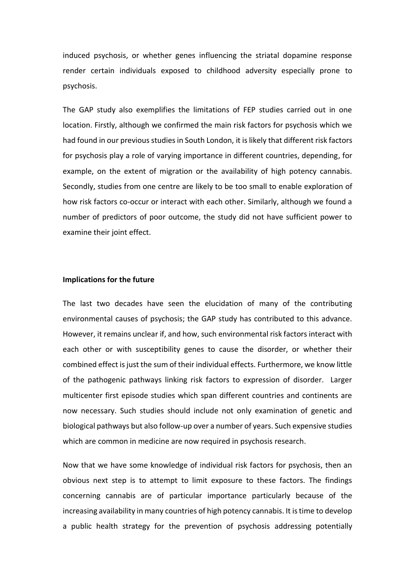induced psychosis, or whether genes influencing the striatal dopamine response render certain individuals exposed to childhood adversity especially prone to psychosis.

The GAP study also exemplifies the limitations of FEP studies carried out in one location. Firstly, although we confirmed the main risk factors for psychosis which we had found in our previous studies in South London, it is likely that different risk factors for psychosis play a role of varying importance in different countries, depending, for example, on the extent of migration or the availability of high potency cannabis. Secondly, studies from one centre are likely to be too small to enable exploration of how risk factors co-occur or interact with each other. Similarly, although we found a number of predictors of poor outcome, the study did not have sufficient power to examine their joint effect.

#### **Implications for the future**

The last two decades have seen the elucidation of many of the contributing environmental causes of psychosis; the GAP study has contributed to this advance. However, it remains unclear if, and how, such environmental risk factors interact with each other or with susceptibility genes to cause the disorder, or whether their combined effect is just the sum of their individual effects. Furthermore, we know little of the pathogenic pathways linking risk factors to expression of disorder. Larger multicenter first episode studies which span different countries and continents are now necessary. Such studies should include not only examination of genetic and biological pathways but also follow-up over a number of years. Such expensive studies which are common in medicine are now required in psychosis research.

Now that we have some knowledge of individual risk factors for psychosis, then an obvious next step is to attempt to limit exposure to these factors. The findings concerning cannabis are of particular importance particularly because of the increasing availability in many countries of high potency cannabis. It is time to develop a public health strategy for the prevention of psychosis addressing potentially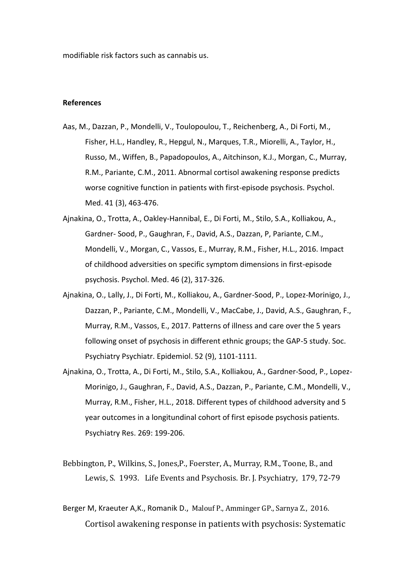modifiable risk factors such as cannabis us.

# **References**

- Aas, M., Dazzan, P., Mondelli, V., Toulopoulou, T., Reichenberg, A., Di Forti, M., Fisher, H.L., Handley, R., Hepgul, N., Marques, T.R., Miorelli, A., Taylor, H., Russo, M., Wiffen, B., Papadopoulos, A., Aitchinson, K.J., Morgan, C., Murray, R.M., Pariante, C.M., 2011. Abnormal cortisol awakening response predicts worse cognitive function in patients with first-episode psychosis. Psychol. Med. 41 (3), 463-476.
- Ajnakina, O., Trotta, A., Oakley-Hannibal, E., Di Forti, M., Stilo, S.A., Kolliakou, A., Gardner- Sood, P., Gaughran, F., David, A.S., Dazzan, P, Pariante, C.M., Mondelli, V., Morgan, C., Vassos, E., Murray, R.M., Fisher, H.L., 2016. Impact of childhood adversities on specific symptom dimensions in first-episode psychosis. Psychol. Med. 46 (2), 317-326.
- Ajnakina, O., Lally, J., Di Forti, M., Kolliakou, A., Gardner-Sood, P., Lopez-Morinigo, J., Dazzan, P., Pariante, C.M., Mondelli, V., MacCabe, J., David, A.S., Gaughran, F., Murray, R.M., Vassos, E., 2017. Patterns of illness and care over the 5 years following onset of psychosis in different ethnic groups; the GAP-5 study. Soc. Psychiatry Psychiatr. Epidemiol. 52 (9), 1101-1111.
- Ajnakina, O., Trotta, A., Di Forti, M., Stilo, S.A., Kolliakou, A., Gardner-Sood, P., Lopez-Morinigo, J., Gaughran, F., David, A.S., Dazzan, P., Pariante, C.M., Mondelli, V., Murray, R.M., Fisher, H.L., 2018. Different types of childhood adversity and 5 year outcomes in a longitundinal cohort of first episode psychosis patients. Psychiatry Res. 269: 199-206.
- Bebbington, P., Wilkins, S., Jones,P., Foerster, A., Murray, R.M., Toone, B., and Lewis, S. 1993. Life Events and Psychosis. Br. J. Psychiatry, 179, 72-79
- Berger M, Kraeuter A,K., Romanik D., Malouf P., Amminger GP., Sarnya Z., 2016. Cortisol awakening response in patients with psychosis: Systematic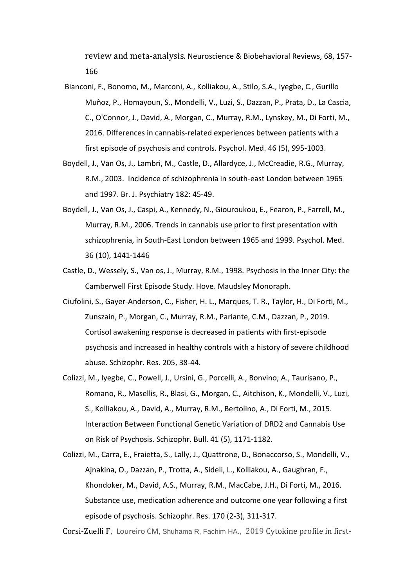review and meta-analysis. Neuroscience & Biobehavioral Reviews, 68, 157- 166

- Bianconi, F., Bonomo, M., Marconi, A., Kolliakou, A., Stilo, S.A., Iyegbe, C., Gurillo Muñoz, P., Homayoun, S., Mondelli, V., Luzi, S., Dazzan, P., Prata, D., La Cascia, C., O'Connor, J., David, A., Morgan, C., Murray, R.M., Lynskey, M., Di Forti, M., 2016. Differences in cannabis-related experiences between patients with a first episode of psychosis and controls. Psychol. Med. 46 (5), 995-1003.
- Boydell, J., Van Os, J., Lambri, M., Castle, D., Allardyce, J., McCreadie, R.G., Murray, R.M., 2003. Incidence of schizophrenia in south-east London between 1965 and 1997. Br. J. Psychiatry 182: 45-49.
- Boydell, J., Van Os, J., Caspi, A., Kennedy, N., Giouroukou, E., Fearon, P., Farrell, M., Murray, R.M., 2006. Trends in cannabis use prior to first presentation with schizophrenia, in South-East London between 1965 and 1999. Psychol. Med. 36 (10), 1441-1446
- Castle, D., Wessely, S., Van os, J., Murray, R.M., 1998. Psychosis in the Inner City: the Camberwell First Episode Study. Hove. Maudsley Monoraph.
- Ciufolini, S., Gayer-Anderson, C., Fisher, H. L., Marques, T. R., Taylor, H., Di Forti, M., Zunszain, P., Morgan, C., Murray, R.M., Pariante, C.M., Dazzan, P., 2019. Cortisol awakening response is decreased in patients with first-episode psychosis and increased in healthy controls with a history of severe childhood abuse. Schizophr. Res. 205, 38-44.
- Colizzi, M., Iyegbe, C., Powell, J., Ursini, G., Porcelli, A., Bonvino, A., Taurisano, P., Romano, R., Masellis, R., Blasi, G., Morgan, C., Aitchison, K., Mondelli, V., Luzi, S., Kolliakou, A., David, A., Murray, R.M., Bertolino, A., Di Forti, M., 2015. Interaction Between Functional Genetic Variation of DRD2 and Cannabis Use on Risk of Psychosis. Schizophr. Bull. 41 (5), 1171-1182.
- Colizzi, M., Carra, E., Fraietta, S., Lally, J., Quattrone, D., Bonaccorso, S., Mondelli, V., Ajnakina, O., Dazzan, P., Trotta, A., Sideli, L., Kolliakou, A., Gaughran, F., Khondoker, M., David, A.S., Murray, R.M., MacCabe, J.H., Di Forti, M., 2016. Substance use, medication adherence and outcome one year following a first episode of psychosis. Schizophr. Res. 170 (2-3), 311-317.

Corsi-Zuelli F, Loureiro CM, Shuhama R, Fachim HA., 2019 Cytokine profile in first-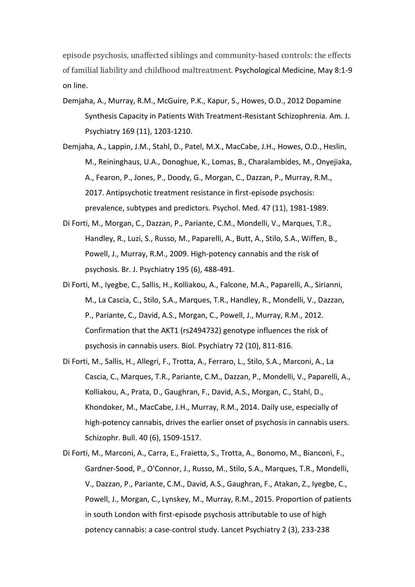episode psychosis, unaffected siblings and community-based controls: the effects of familial liability and childhood maltreatment. Psychological Medicine, May 8:1-9 on line.

- Demjaha, A., Murray, R.M., McGuire, P.K., Kapur, S., Howes, O.D., 2012 Dopamine Synthesis Capacity in Patients With Treatment-Resistant Schizophrenia. Am. J. Psychiatry 169 (11), 1203-1210.
- Demjaha, A., Lappin, J.M., Stahl, D., Patel, M.X., MacCabe, J.H., Howes, O.D., Heslin, M., Reininghaus, U.A., Donoghue, K., Lomas, B., Charalambides, M., Onyejiaka, A., Fearon, P., Jones, P., Doody, G., Morgan, C., Dazzan, P., Murray, R.M., 2017. Antipsychotic treatment resistance in first-episode psychosis: prevalence, subtypes and predictors. Psychol. Med. 47 (11), 1981-1989.
- Di Forti, M., Morgan, C., Dazzan, P., Pariante, C.M., Mondelli, V., Marques, T.R., Handley, R., Luzi, S., Russo, M., Paparelli, A., Butt, A., Stilo, S.A., Wiffen, B., Powell, J., Murray, R.M., 2009. High-potency cannabis and the risk of psychosis. Br. J. Psychiatry 195 (6), 488-491.
- Di Forti, M., Iyegbe, C., Sallis, H., Kolliakou, A., Falcone, M.A., Paparelli, A., Sirianni, M., La Cascia, C., Stilo, S.A., Marques, T.R., Handley, R., Mondelli, V., Dazzan, P., Pariante, C., David, A.S., Morgan, C., Powell, J., Murray, R.M., 2012. Confirmation that the AKT1 (rs2494732) genotype influences the risk of psychosis in cannabis users. Biol. Psychiatry 72 (10), 811-816.
- Di Forti, M., Sallis, H., Allegri, F., Trotta, A., Ferraro, L., Stilo, S.A., Marconi, A., La Cascia, C., Marques, T.R., Pariante, C.M., Dazzan, P., Mondelli, V., Paparelli, A., Kolliakou, A., Prata, D., Gaughran, F., David, A.S., Morgan, C., Stahl, D., Khondoker, M., MacCabe, J.H., Murray, R.M., 2014. Daily use, especially of high-potency cannabis, drives the earlier onset of psychosis in cannabis users. Schizophr. Bull. 40 (6), 1509-1517.
- Di Forti, M., Marconi, A., Carra, E., Fraietta, S., Trotta, A., Bonomo, M., Bianconi, F., Gardner-Sood, P., O'Connor, J., Russo, M., Stilo, S.A., Marques, T.R., Mondelli, V., Dazzan, P., Pariante, C.M., David, A.S., Gaughran, F., Atakan, Z., Iyegbe, C., Powell, J., Morgan, C., Lynskey, M., Murray, R.M., 2015. Proportion of patients in south London with first-episode psychosis attributable to use of high potency cannabis: a case-control study. Lancet Psychiatry 2 (3), 233-238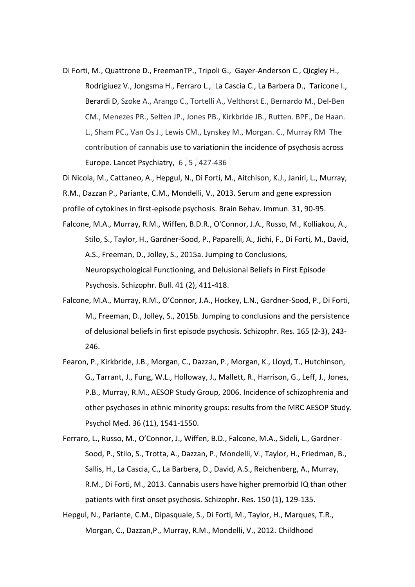Di Forti, M., Quattrone D., FreemanTP., Tripoli G., Gayer-Anderson C., Qicgley H., Rodrigiuez V., Jongsma H., Ferraro L., La Cascia C., La Barbera D., Taricone I., Berardi D, Szoke A., Arango C., Tortelli A., Velthorst E., Bernardo M., Del-Ben CM., Menezes PR., Selten JP., Jones PB., Kirkbride JB., Rutten. BPF., De Haan. L., Sham PC., Van Os J., Lewis CM., Lynskey M., Morgan. C., Murray RM The contribution of cannabis use to variationin the incidence of psychosis across Europe. Lancet Psychiatry, 6 , 5 , 427-436

Di Nicola, M., Cattaneo, A., Hepgul, N., Di Forti, M., Aitchison, K.J., Janiri, L., Murray, R.M., Dazzan P., Pariante, C.M., Mondelli, V., 2013. Serum and gene expression profile of cytokines in first-episode psychosis. Brain Behav. Immun. 31, 90-95.

Falcone, M.A., Murray, R.M., Wiffen, B.D.R., O'Connor, J.A., Russo, M., Kolliakou, A., Stilo, S., Taylor, H., Gardner-Sood, P., Paparelli, A., Jichi, F., Di Forti, M., David, A.S., Freeman, D., Jolley, S., 2015a. Jumping to Conclusions, Neuropsychological Functioning, and Delusional Beliefs in First Episode Psychosis. Schizophr. Bull. 41 (2), 411-418.

- Falcone, M.A., Murray, R.M., O'Connor, J.A., Hockey, L.N., Gardner-Sood, P., Di Forti, M., Freeman, D., Jolley, S., 2015b. Jumping to conclusions and the persistence of delusional beliefs in first episode psychosis. Schizophr. Res. 165 (2-3), 243- 246.
- Fearon, P., Kirkbride, J.B., Morgan, C., Dazzan, P., Morgan, K., Lloyd, T., Hutchinson, G., Tarrant, J., Fung, W.L., Holloway, J., Mallett, R., Harrison, G., Leff, J., Jones, P.B., Murray, R.M., AESOP Study Group, 2006. Incidence of schizophrenia and other psychoses in ethnic minority groups: results from the MRC AESOP Study. Psychol Med. 36 (11), 1541-1550.
- Ferraro, L., Russo, M., O'Connor, J., Wiffen, B.D., Falcone, M.A., Sideli, L., Gardner-Sood, P., Stilo, S., Trotta, A., Dazzan, P., Mondelli, V., Taylor, H., Friedman, B., Sallis, H., La Cascia, C., La Barbera, D., David, A.S., Reichenberg, A., Murray, R.M., Di Forti, M., 2013. Cannabis users have higher premorbid IQ than other patients with first onset psychosis. Schizophr. Res. 150 (1), 129-135.
- Hepgul, N., Pariante, C.M., Dipasquale, S., Di Forti, M., Taylor, H., Marques, T.R., Morgan, C., Dazzan,P., Murray, R.M., Mondelli, V., 2012. Childhood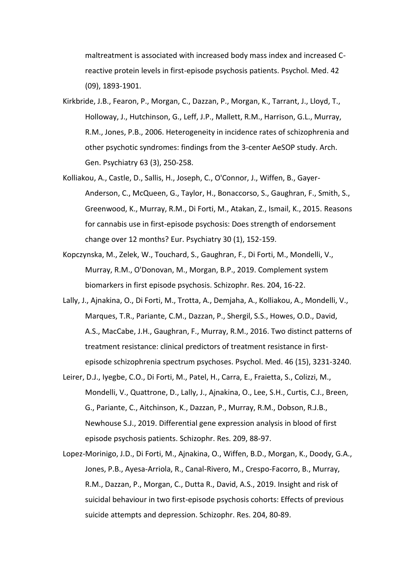maltreatment is associated with increased body mass index and increased Creactive protein levels in first-episode psychosis patients. Psychol. Med. 42 (09), 1893-1901.

- Kirkbride, J.B., Fearon, P., Morgan, C., Dazzan, P., Morgan, K., Tarrant, J., Lloyd, T., Holloway, J., Hutchinson, G., Leff, J.P., Mallett, R.M., Harrison, G.L., Murray, R.M., Jones, P.B., 2006. Heterogeneity in incidence rates of schizophrenia and other psychotic syndromes: findings from the 3-center AeSOP study. Arch. Gen. Psychiatry 63 (3), 250-258.
- Kolliakou, A., Castle, D., Sallis, H., Joseph, C., O'Connor, J., Wiffen, B., Gayer-Anderson, C., McQueen, G., Taylor, H., Bonaccorso, S., Gaughran, F., Smith, S., Greenwood, K., Murray, R.M., Di Forti, M., Atakan, Z., Ismail, K., 2015. Reasons for cannabis use in first-episode psychosis: Does strength of endorsement change over 12 months? Eur. Psychiatry 30 (1), 152-159.
- Kopczynska, M., Zelek, W., Touchard, S., Gaughran, F., Di Forti, M., Mondelli, V., Murray, R.M., O'Donovan, M., Morgan, B.P., 2019. Complement system biomarkers in first episode psychosis. Schizophr. Res. 204, 16-22.
- Lally, J., Ajnakina, O., Di Forti, M., Trotta, A., Demjaha, A., Kolliakou, A., Mondelli, V., Marques, T.R., Pariante, C.M., Dazzan, P., Shergil, S.S., Howes, O.D., David, A.S., MacCabe, J.H., Gaughran, F., Murray, R.M., 2016. Two distinct patterns of treatment resistance: clinical predictors of treatment resistance in firstepisode schizophrenia spectrum psychoses. Psychol. Med. 46 (15), 3231-3240.
- Leirer, D.J., Iyegbe, C.O., Di Forti, M., Patel, H., Carra, E., Fraietta, S., Colizzi, M., Mondelli, V., Quattrone, D., Lally, J., Ajnakina, O., Lee, S.H., Curtis, C.J., Breen, G., Pariante, C., Aitchinson, K., Dazzan, P., Murray, R.M., Dobson, R.J.B., Newhouse S.J., 2019. Differential gene expression analysis in blood of first episode psychosis patients. Schizophr. Res. 209, 88-97.
- Lopez-Morinigo, J.D., Di Forti, M., Ajnakina, O., Wiffen, B.D., Morgan, K., Doody, G.A., Jones, P.B., Ayesa-Arriola, R., Canal-Rivero, M., Crespo-Facorro, B., Murray, R.M., Dazzan, P., Morgan, C., Dutta R., David, A.S., 2019. Insight and risk of suicidal behaviour in two first-episode psychosis cohorts: Effects of previous suicide attempts and depression. Schizophr. Res. 204, 80-89.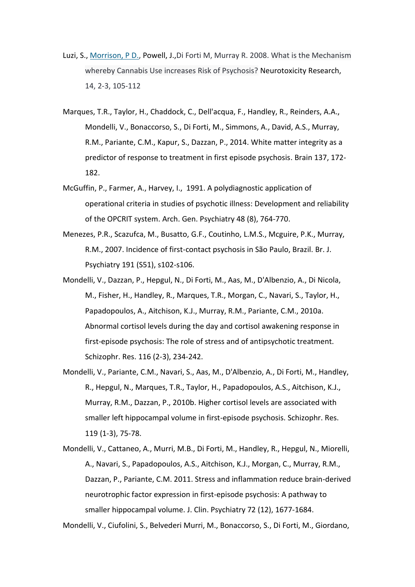- Luzi, S., [Morrison, P D.,](http://apps.webofknowledge.com/OutboundService.do?SID=D3umGAowtbkc6KlTsEN&mode=rrcAuthorRecordService&action=go&product=WOS&daisIds=158534) Powell, J.,Di Forti M, Murray R. 2008. What is the Mechanism whereby Cannabis Use increases Risk of Psychosis? Neurotoxicity Research, 14, 2-3, 105-112
- Marques, T.R., Taylor, H., Chaddock, C., Dell'acqua, F., Handley, R., Reinders, A.A., Mondelli, V., Bonaccorso, S., Di Forti, M., Simmons, A., David, A.S., Murray, R.M., Pariante, C.M., Kapur, S., Dazzan, P., 2014. [White matter integrity as a](http://apps.webofknowledge.com/full_record.do?product=WOS&search_mode=GeneralSearch&qid=1&SID=C6OmOztZV89fXlxWW54&page=3&doc=21)  [predictor of response to treatment in first episode psychosis.](http://apps.webofknowledge.com/full_record.do?product=WOS&search_mode=GeneralSearch&qid=1&SID=C6OmOztZV89fXlxWW54&page=3&doc=21) Brain 137, 172- 182.
- McGuffin, P., Farmer, A., Harvey, I., 1991. A polydiagnostic application of operational criteria in studies of psychotic illness: Development and reliability of the OPCRIT system. Arch. Gen. Psychiatry 48 (8), 764-770.
- Menezes, P.R., Scazufca, M., Busatto, G.F., Coutinho, L.M.S., Mcguire, P.K., Murray, R.M., 2007. Incidence of first-contact psychosis in São Paulo, Brazil. Br. J. Psychiatry 191 (S51), s102-s106.
- Mondelli, V., Dazzan, P., Hepgul, N., Di Forti, M., Aas, M., D'Albenzio, A., Di Nicola, M., Fisher, H., Handley, R., Marques, T.R., Morgan, C., Navari, S., Taylor, H., Papadopoulos, A., Aitchison, K.J., Murray, R.M., Pariante, C.M., 2010a. Abnormal cortisol levels during the day and cortisol awakening response in first-episode psychosis: The role of stress and of antipsychotic treatment. Schizophr. Res. 116 (2-3), 234-242.
- Mondelli, V., Pariante, C.M., Navari, S., Aas, M., D'Albenzio, A., Di Forti, M., Handley, R., Hepgul, N., Marques, T.R., Taylor, H., Papadopoulos, A.S., Aitchison, K.J., Murray, R.M., Dazzan, P., 2010b. Higher cortisol levels are associated with smaller left hippocampal volume in first-episode psychosis. Schizophr. Res. 119 (1-3), 75-78.
- Mondelli, V., Cattaneo, A., Murri, M.B., Di Forti, M., Handley, R., Hepgul, N., Miorelli, A., Navari, S., Papadopoulos, A.S., Aitchison, K.J., Morgan, C., Murray, R.M., Dazzan, P., Pariante, C.M. 2011. Stress and inflammation reduce brain-derived neurotrophic factor expression in first-episode psychosis: A pathway to smaller hippocampal volume. J. Clin. Psychiatry 72 (12), 1677-1684.

Mondelli, V., Ciufolini, S., Belvederi Murri, M., Bonaccorso, S., Di Forti, M., Giordano,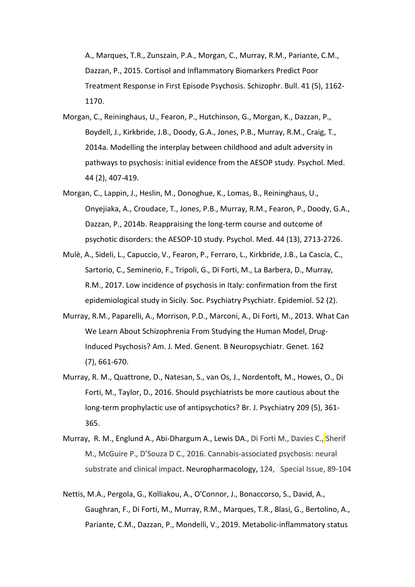A., Marques, T.R., Zunszain, P.A., Morgan, C., Murray, R.M., Pariante, C.M., Dazzan, P., 2015. Cortisol and Inflammatory Biomarkers Predict Poor Treatment Response in First Episode Psychosis. Schizophr. Bull. 41 (5), 1162- 1170.

- Morgan, C., Reininghaus, U., Fearon, P., Hutchinson, G., Morgan, K., Dazzan, P., Boydell, J., Kirkbride, J.B., Doody, G.A., Jones, P.B., Murray, R.M., Craig, T., 2014a. Modelling the interplay between childhood and adult adversity in pathways to psychosis: initial evidence from the AESOP study. Psychol. Med. 44 (2), 407-419.
- Morgan, C., Lappin, J., Heslin, M., Donoghue, K., Lomas, B., Reininghaus, U., Onyejiaka, A., Croudace, T., Jones, P.B., Murray, R.M., Fearon, P., Doody, G.A., Dazzan, P., 2014b. Reappraising the long-term course and outcome of psychotic disorders: the AESOP-10 study. Psychol. Med. 44 (13), 2713-2726.
- Mulè, A., Sideli, L., Capuccio, V., Fearon, P., Ferraro, L., Kirkbride, J.B., La Cascia, C., Sartorio, C., Seminerio, F., Tripoli, G., Di Forti, M., La Barbera, D., Murray, R.M., 2017. Low incidence of psychosis in Italy: confirmation from the first epidemiological study in Sicily. Soc. Psychiatry Psychiatr. Epidemiol. 52 (2).
- Murray, R.M., Paparelli, A., Morrison, P.D., Marconi, A., Di Forti, M., 2013. [What Can](http://apps.webofknowledge.com/full_record.do?product=WOS&search_mode=GeneralSearch&qid=1&SID=C6OmOztZV89fXlxWW54&page=4&doc=35)  [We Learn About Schizophrenia From](http://apps.webofknowledge.com/full_record.do?product=WOS&search_mode=GeneralSearch&qid=1&SID=C6OmOztZV89fXlxWW54&page=4&doc=35) Studying the Human Model, Drug-[Induced Psychosis?](http://apps.webofknowledge.com/full_record.do?product=WOS&search_mode=GeneralSearch&qid=1&SID=C6OmOztZV89fXlxWW54&page=4&doc=35) Am. J. Med. Genent. B Neuropsychiatr. Genet. 162 (7), 661-670.
- Murray, R. M., Quattrone, D., Natesan, S., van Os, J., Nordentoft, M., Howes, O., Di Forti, M., Taylor, D., 2016. Should psychiatrists be more cautious about the long-term prophylactic use of antipsychotics? Br. J. Psychiatry 209 (5), 361- 365.
- Murray, R. M., Englund A., Abi-Dhargum A., Lewis DA., Di Forti M., Davies C., Sherif M., McGuire P., D'Souza D C., 2016. Cannabis-associated psychosis: neural substrate and clinical impact. Neuropharmacology, 124, Special Issue, 89-104
- Nettis, M.A., Pergola, G., Kolliakou, A., O'Connor, J., Bonaccorso, S., David, A., Gaughran, F., Di Forti, M., Murray, R.M., Marques, T.R., Blasi, G., Bertolino, A., Pariante, C.M., Dazzan, P., Mondelli, V., 2019. Metabolic-inflammatory status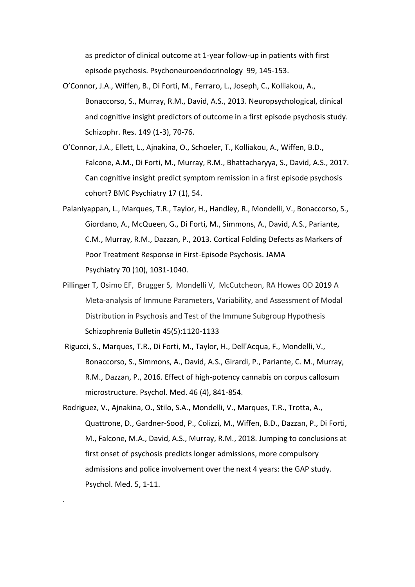as predictor of clinical outcome at 1-year follow-up in patients with first episode psychosis. Psychoneuroendocrinology 99, 145-153.

- O'Connor, J.A., Wiffen, B., Di Forti, M., Ferraro, L., Joseph, C., Kolliakou, A., Bonaccorso, S., Murray, R.M., David, A.S., 2013. Neuropsychological, clinical and cognitive insight predictors of outcome in a first episode psychosis study. Schizophr. Res. 149 (1-3), 70-76.
- O'Connor, J.A., Ellett, L., Ajnakina, O., Schoeler, T., Kolliakou, A., Wiffen, B.D., Falcone, A.M., Di Forti, M., Murray, R.M., Bhattacharyya, S., David, A.S., 2017. Can cognitive insight predict symptom remission in a first episode psychosis cohort? BMC Psychiatry 17 (1), 54.
- Palaniyappan, L., Marques, T.R., Taylor, H., Handley, R., Mondelli, V., Bonaccorso, S., Giordano, A., McQueen, G., Di Forti, M., Simmons, A., David, A.S., Pariante, C.M., Murray, R.M., Dazzan, P., 2013. [Cortical Folding Defects as Markers of](http://apps.webofknowledge.com/full_record.do?product=WOS&search_mode=GeneralSearch&qid=1&SID=C6OmOztZV89fXlxWW54&page=3&doc=28)  [Poor Treatment Response in First-Episode Psychosis.](http://apps.webofknowledge.com/full_record.do?product=WOS&search_mode=GeneralSearch&qid=1&SID=C6OmOztZV89fXlxWW54&page=3&doc=28) JAMA Psychiatry 70 (10), 1031-1040.
- Pillinger T, Osimo EF, Brugger S, Mondelli V, McCutcheon, RA Howes OD 2019 A Meta-analysis of Immune Parameters, Variability, and Assessment of Modal Distribution in Psychosis and Test of the Immune Subgroup Hypothesis Schizophrenia Bulletin 45(5):1120-1133
- Rigucci, S., Marques, T.R., Di Forti, M., Taylor, H., Dell'Acqua, F., Mondelli, V., Bonaccorso, S., Simmons, A., David, A.S., Girardi, P., Pariante, C. M., Murray, R.M., Dazzan, P., 2016. Effect of high-potency cannabis on corpus callosum microstructure. Psychol. Med. 46 (4), 841-854.
- Rodriguez, V., Ajnakina, O., Stilo, S.A., Mondelli, V., Marques, T.R., Trotta, A., Quattrone, D., Gardner-Sood, P., Colizzi, M., Wiffen, B.D., Dazzan, P., Di Forti, M., Falcone, M.A., David, A.S., Murray, R.M., 2018. Jumping to conclusions at first onset of psychosis predicts longer admissions, more compulsory admissions and police involvement over the next 4 years: the GAP study. Psychol. Med. 5, 1-11.

.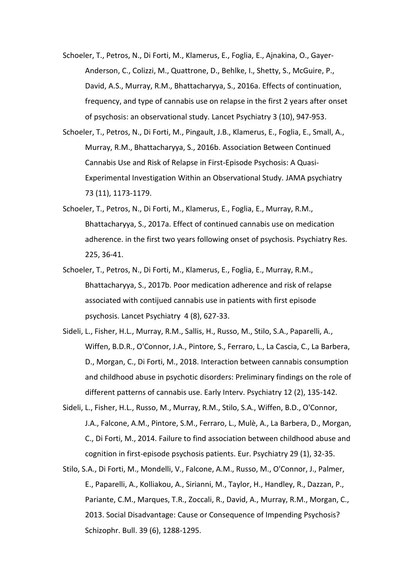- Schoeler, T., Petros, N., Di Forti, M., Klamerus, E., Foglia, E., Ajnakina, O., Gayer-Anderson, C., Colizzi, M., Quattrone, D., Behlke, I., Shetty, S., McGuire, P., David, A.S., Murray, R.M., Bhattacharyya, S., 2016a. Effects of continuation, frequency, and type of cannabis use on relapse in the first 2 years after onset of psychosis: an observational study. Lancet Psychiatry 3 (10), 947-953.
- Schoeler, T., Petros, N., Di Forti, M., Pingault, J.B., Klamerus, E., Foglia, E., Small, A., Murray, R.M., Bhattacharyya, S., 2016b. Association Between Continued Cannabis Use and Risk of Relapse in First-Episode Psychosis: A Quasi-Experimental Investigation Within an Observational Study. JAMA psychiatry 73 (11), 1173-1179.
- Schoeler, T., Petros, N., Di Forti, M., Klamerus, E., Foglia, E., Murray, R.M., Bhattacharyya, S., 2017a. Effect of continued cannabis use on medication adherence. in the first two years following onset of psychosis. Psychiatry Res. 225, 36-41.
- Schoeler, T., Petros, N., Di Forti, M., Klamerus, E., Foglia, E., Murray, R.M., Bhattacharyya, S., 2017b. Poor medication adherence and risk of relapse associated with contijued cannabis use in patients with first episode psychosis. Lancet Psychiatry 4 (8), 627-33.
- Sideli, L., Fisher, H.L., Murray, R.M., Sallis, H., Russo, M., Stilo, S.A., Paparelli, A., Wiffen, B.D.R., O'Connor, J.A., Pintore, S., Ferraro, L., La Cascia, C., La Barbera, D., Morgan, C., Di Forti, M., 2018. Interaction between cannabis consumption and childhood abuse in psychotic disorders: Preliminary findings on the role of different patterns of cannabis use. Early Interv. Psychiatry 12 (2), 135-142.
- Sideli, L., Fisher, H.L., Russo, M., Murray, R.M., Stilo, S.A., Wiffen, B.D., O'Connor, J.A., Falcone, A.M., Pintore, S.M., Ferraro, L., Mulè, A., La Barbera, D., Morgan, C., Di Forti, M., 2014. Failure to find association between childhood abuse and cognition in first-episode psychosis patients. Eur. Psychiatry 29 (1), 32-35.
- Stilo, S.A., Di Forti, M., Mondelli, V., Falcone, A.M., Russo, M., O'Connor, J., Palmer, E., Paparelli, A., Kolliakou, A., Sirianni, M., Taylor, H., Handley, R., Dazzan, P., Pariante, C.M., Marques, T.R., Zoccali, R., David, A., Murray, R.M., Morgan, C., 2013. Social Disadvantage: Cause or Consequence of Impending Psychosis? Schizophr. Bull. 39 (6), 1288-1295.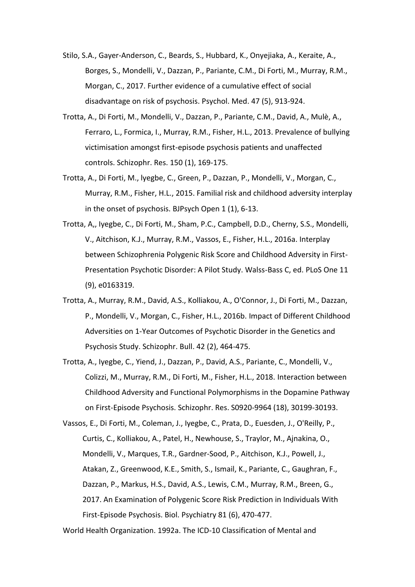- Stilo, S.A., Gayer-Anderson, C., Beards, S., Hubbard, K., Onyejiaka, A., Keraite, A., Borges, S., Mondelli, V., Dazzan, P., Pariante, C.M., Di Forti, M., Murray, R.M., Morgan, C., 2017. Further evidence of a cumulative effect of social disadvantage on risk of psychosis. Psychol. Med. 47 (5), 913-924.
- Trotta, A., Di Forti, M., Mondelli, V., Dazzan, P., Pariante, C.M., David, A., Mulè, A., Ferraro, L., Formica, I., Murray, R.M., Fisher, H.L., 2013. Prevalence of bullying victimisation amongst first-episode psychosis patients and unaffected controls. Schizophr. Res. 150 (1), 169-175.
- Trotta, A., Di Forti, M., lyegbe, C., Green, P., Dazzan, P., Mondelli, V., Morgan, C., Murray, R.M., Fisher, H.L., 2015. Familial risk and childhood adversity interplay in the onset of psychosis. BJPsych Open 1 (1), 6-13.
- Trotta, A,, Iyegbe, C., Di Forti, M., Sham, P.C., Campbell, D.D., Cherny, S.S., Mondelli, V., Aitchison, K.J., Murray, R.M., Vassos, E., Fisher, H.L., 2016a. Interplay between Schizophrenia Polygenic Risk Score and Childhood Adversity in First-Presentation Psychotic Disorder: A Pilot Study. Walss-Bass C, ed. PLoS One 11 (9), e0163319.
- Trotta, A., Murray, R.M., David, A.S., Kolliakou, A., O'Connor, J., Di Forti, M., Dazzan, P., Mondelli, V., Morgan, C., Fisher, H.L., 2016b. Impact of Different Childhood Adversities on 1-Year Outcomes of Psychotic Disorder in the Genetics and Psychosis Study. Schizophr. Bull. 42 (2), 464-475.
- Trotta, A., Iyegbe, C., Yiend, J., Dazzan, P., David, A.S., Pariante, C., Mondelli, V., Colizzi, M., Murray, R.M., Di Forti, M., Fisher, H.L., 2018. Interaction between Childhood Adversity and Functional Polymorphisms in the Dopamine Pathway on First-Episode Psychosis. Schizophr. Res. S0920-9964 (18), 30199-30193.
- Vassos, E., Di Forti, M., Coleman, J., Iyegbe, C., Prata, D., Euesden, J., O'Reilly, P., Curtis, C., Kolliakou, A., Patel, H., Newhouse, S., Traylor, M., Ajnakina, O., Mondelli, V., Marques, T.R., Gardner-Sood, P., Aitchison, K.J., Powell, J., Atakan, Z., Greenwood, K.E., Smith, S., Ismail, K., Pariante, C., Gaughran, F., Dazzan, P., Markus, H.S., David, A.S., Lewis, C.M., Murray, R.M., Breen, G., 2017. An Examination of Polygenic Score Risk Prediction in Individuals With First-Episode Psychosis. Biol. Psychiatry 81 (6), 470-477.

World Health Organization. 1992a. The ICD-10 Classification of Mental and